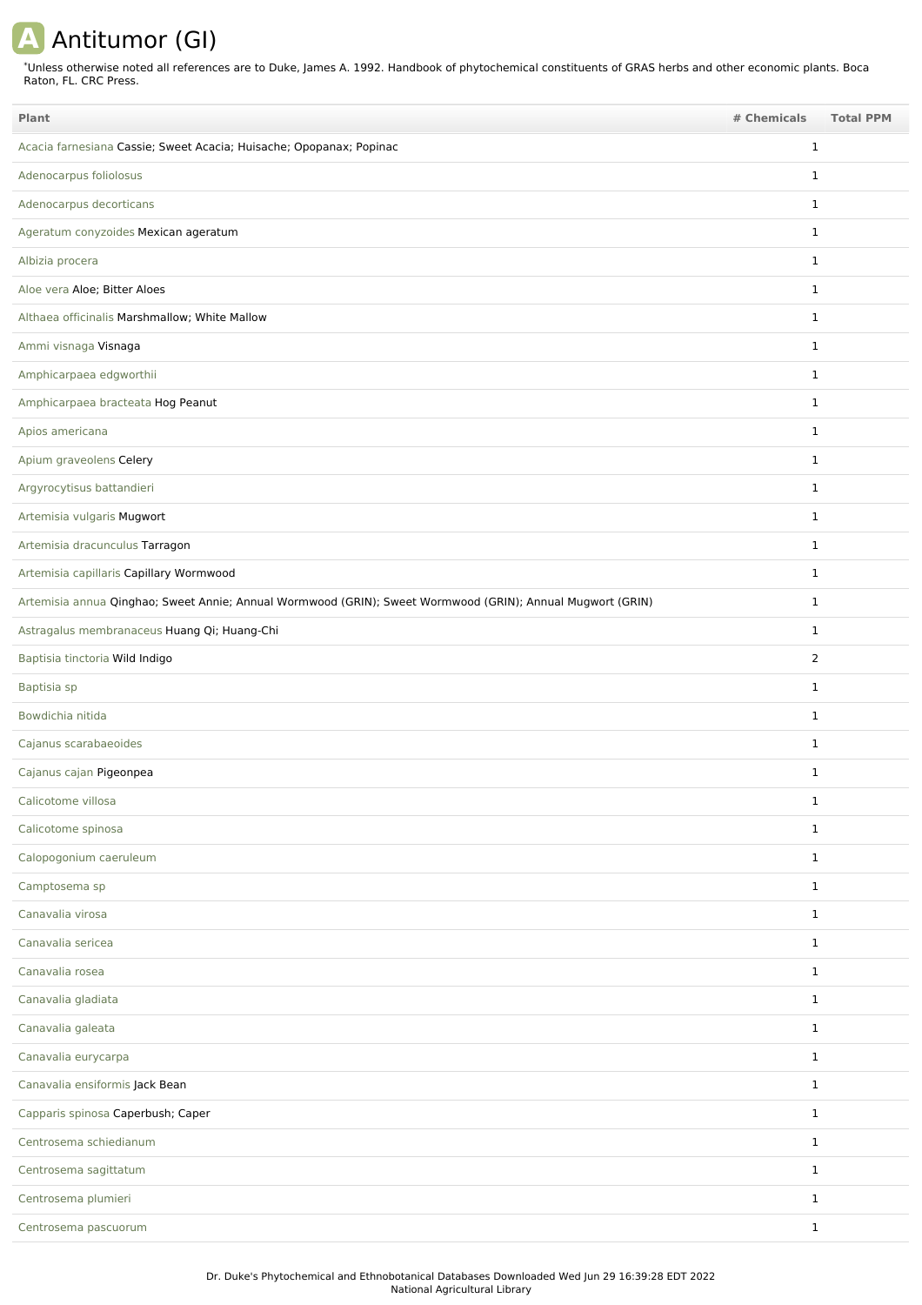## **A** Antitumor (GI)

Unless otherwise noted all references are to Duke, James A. 1992. Handbook of phytochemical constituents of GRAS herbs and other economic plants. Boca Raton, FL. CRC Press. \*

| Plant                                                                                                      | # Chemicals    | <b>Total PPM</b> |
|------------------------------------------------------------------------------------------------------------|----------------|------------------|
| Acacia farnesiana Cassie; Sweet Acacia; Huisache; Opopanax; Popinac                                        | $\mathbf{1}$   |                  |
| Adenocarpus foliolosus                                                                                     | $\mathbf{1}$   |                  |
| Adenocarpus decorticans                                                                                    | $\mathbf{1}$   |                  |
| Ageratum conyzoides Mexican ageratum                                                                       | $\mathbf{1}$   |                  |
| Albizia procera                                                                                            | $\mathbf{1}$   |                  |
| Aloe vera Aloe; Bitter Aloes                                                                               | $\mathbf{1}$   |                  |
| Althaea officinalis Marshmallow; White Mallow                                                              | $\mathbf{1}$   |                  |
| Ammi visnaga Visnaga                                                                                       | $\mathbf{1}$   |                  |
| Amphicarpaea edgworthii                                                                                    | $\mathbf{1}$   |                  |
| Amphicarpaea bracteata Hog Peanut                                                                          | $\mathbf{1}$   |                  |
| Apios americana                                                                                            | $\mathbf{1}$   |                  |
| Apium graveolens Celery                                                                                    | $\mathbf{1}$   |                  |
| Argyrocytisus battandieri                                                                                  | $\mathbf{1}$   |                  |
| Artemisia vulgaris Mugwort                                                                                 | $\mathbf{1}$   |                  |
| Artemisia dracunculus Tarragon                                                                             | $\mathbf{1}$   |                  |
| Artemisia capillaris Capillary Wormwood                                                                    | $\mathbf{1}$   |                  |
| Artemisia annua Qinghao; Sweet Annie; Annual Wormwood (GRIN); Sweet Wormwood (GRIN); Annual Mugwort (GRIN) | $\mathbf{1}$   |                  |
| Astragalus membranaceus Huang Qi; Huang-Chi                                                                | $\mathbf{1}$   |                  |
| Baptisia tinctoria Wild Indigo                                                                             | $\overline{2}$ |                  |
| Baptisia sp                                                                                                | $\mathbf{1}$   |                  |
| Bowdichia nitida                                                                                           | $\mathbf{1}$   |                  |
| Cajanus scarabaeoides                                                                                      | $\mathbf{1}$   |                  |
| Cajanus cajan Pigeonpea                                                                                    | $\mathbf{1}$   |                  |
| Calicotome villosa                                                                                         | $\mathbf{1}$   |                  |
| Calicotome spinosa                                                                                         | $\mathbf{1}$   |                  |
| Calopogonium caeruleum                                                                                     | $\mathbf{1}$   |                  |
| Camptosema sp                                                                                              | $\mathbf{1}$   |                  |
| Canavalia virosa                                                                                           | $\mathbf{1}$   |                  |
| Canavalia sericea                                                                                          | $\mathbf{1}$   |                  |
| Canavalia rosea                                                                                            | $\mathbf{1}$   |                  |
| Canavalia gladiata                                                                                         | $\mathbf{1}$   |                  |
| Canavalia galeata                                                                                          | $\mathbf{1}$   |                  |
| Canavalia eurycarpa                                                                                        | $\mathbf{1}$   |                  |
| Canavalia ensiformis Jack Bean                                                                             | $\mathbf{1}$   |                  |
| Capparis spinosa Caperbush; Caper                                                                          | $\mathbf{1}$   |                  |
| Centrosema schiedianum                                                                                     | $\mathbf{1}$   |                  |
| Centrosema sagittatum                                                                                      | $\mathbf{1}$   |                  |
| Centrosema plumieri                                                                                        | $\mathbf{1}$   |                  |
| Centrosema pascuorum                                                                                       | $\mathbf{1}$   |                  |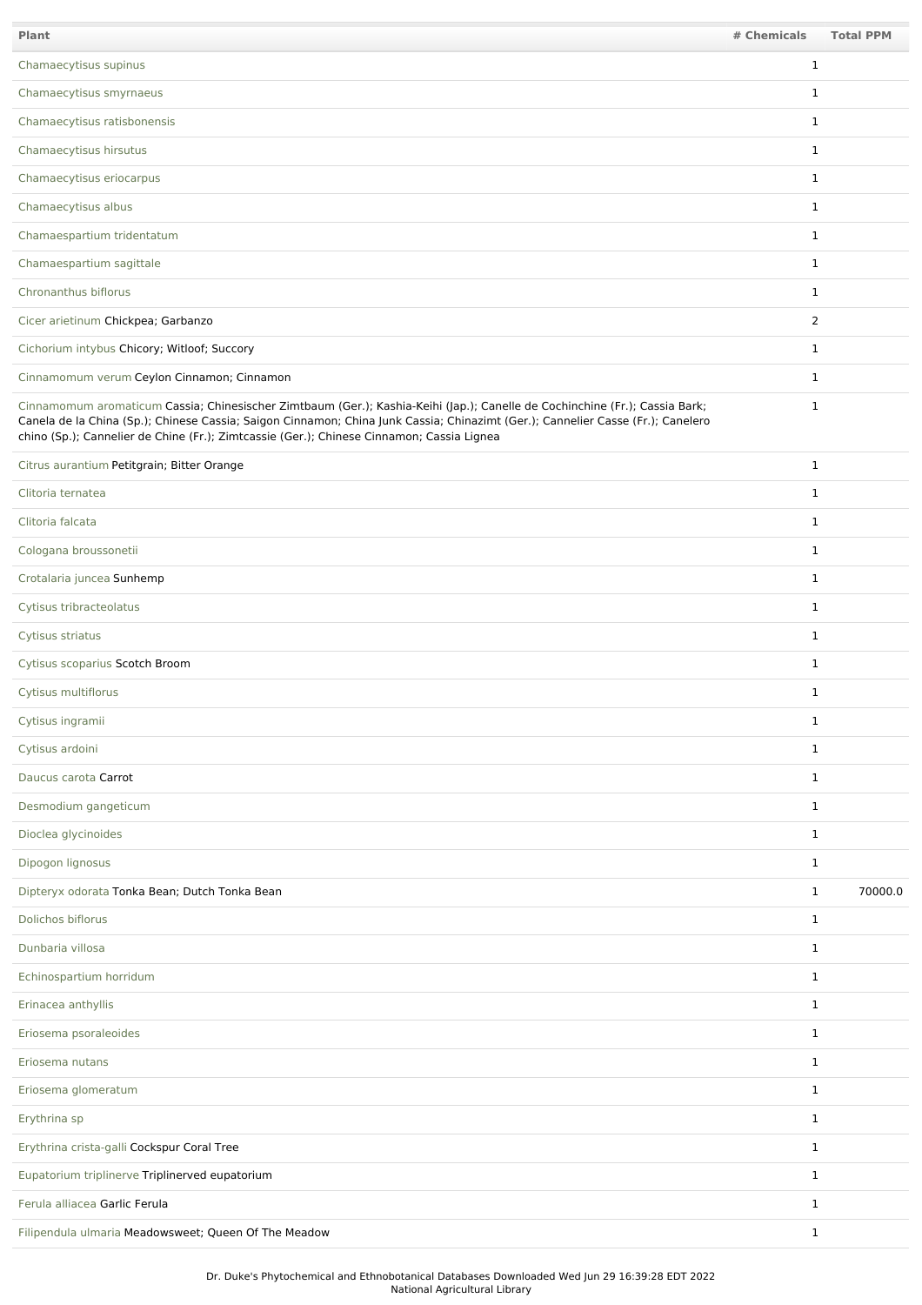| Plant                                                                                                                                                                                                                                                                                                                                                       | # Chemicals    | <b>Total PPM</b> |
|-------------------------------------------------------------------------------------------------------------------------------------------------------------------------------------------------------------------------------------------------------------------------------------------------------------------------------------------------------------|----------------|------------------|
| Chamaecytisus supinus                                                                                                                                                                                                                                                                                                                                       | $\mathbf{1}$   |                  |
| Chamaecytisus smyrnaeus                                                                                                                                                                                                                                                                                                                                     | $\mathbf{1}$   |                  |
| Chamaecytisus ratisbonensis                                                                                                                                                                                                                                                                                                                                 | $\mathbf{1}$   |                  |
| Chamaecytisus hirsutus                                                                                                                                                                                                                                                                                                                                      | $\mathbf{1}$   |                  |
| Chamaecytisus eriocarpus                                                                                                                                                                                                                                                                                                                                    | $\mathbf{1}$   |                  |
| Chamaecytisus albus                                                                                                                                                                                                                                                                                                                                         | $\mathbf{1}$   |                  |
| Chamaespartium tridentatum                                                                                                                                                                                                                                                                                                                                  | $\mathbf{1}$   |                  |
| Chamaespartium sagittale                                                                                                                                                                                                                                                                                                                                    | $\mathbf{1}$   |                  |
| Chronanthus biflorus                                                                                                                                                                                                                                                                                                                                        | $\mathbf{1}$   |                  |
| Cicer arietinum Chickpea; Garbanzo                                                                                                                                                                                                                                                                                                                          | $\overline{2}$ |                  |
| Cichorium intybus Chicory; Witloof; Succory                                                                                                                                                                                                                                                                                                                 | $\mathbf{1}$   |                  |
| Cinnamomum verum Ceylon Cinnamon; Cinnamon                                                                                                                                                                                                                                                                                                                  | $\mathbf{1}$   |                  |
| Cinnamomum aromaticum Cassia; Chinesischer Zimtbaum (Ger.); Kashia-Keihi (Jap.); Canelle de Cochinchine (Fr.); Cassia Bark;<br>Canela de la China (Sp.); Chinese Cassia; Saigon Cinnamon; China Junk Cassia; Chinazimt (Ger.); Cannelier Casse (Fr.); Canelero<br>chino (Sp.); Cannelier de Chine (Fr.); Zimtcassie (Ger.); Chinese Cinnamon; Cassia Lignea | $\mathbf{1}$   |                  |
| Citrus aurantium Petitgrain; Bitter Orange                                                                                                                                                                                                                                                                                                                  | $\mathbf{1}$   |                  |
| Clitoria ternatea                                                                                                                                                                                                                                                                                                                                           | $\mathbf{1}$   |                  |
| Clitoria falcata                                                                                                                                                                                                                                                                                                                                            | $\mathbf{1}$   |                  |
| Cologana broussonetii                                                                                                                                                                                                                                                                                                                                       | $\mathbf{1}$   |                  |
| Crotalaria juncea Sunhemp                                                                                                                                                                                                                                                                                                                                   | $\mathbf{1}$   |                  |
| Cytisus tribracteolatus                                                                                                                                                                                                                                                                                                                                     | $\mathbf{1}$   |                  |
| Cytisus striatus                                                                                                                                                                                                                                                                                                                                            | $\mathbf{1}$   |                  |
| Cytisus scoparius Scotch Broom                                                                                                                                                                                                                                                                                                                              | $\mathbf{1}$   |                  |
| Cytisus multiflorus                                                                                                                                                                                                                                                                                                                                         | $\mathbf{1}$   |                  |
| Cytisus ingramii                                                                                                                                                                                                                                                                                                                                            | 1              |                  |
| Cytisus ardoini                                                                                                                                                                                                                                                                                                                                             | $\mathbf{1}$   |                  |
| Daucus carota Carrot                                                                                                                                                                                                                                                                                                                                        | $\mathbf{1}$   |                  |
| Desmodium gangeticum                                                                                                                                                                                                                                                                                                                                        | $\mathbf{1}$   |                  |
| Dioclea glycinoides                                                                                                                                                                                                                                                                                                                                         | $\mathbf{1}$   |                  |
| Dipogon lignosus                                                                                                                                                                                                                                                                                                                                            | $\mathbf{1}$   |                  |
| Dipteryx odorata Tonka Bean; Dutch Tonka Bean                                                                                                                                                                                                                                                                                                               | $\mathbf{1}$   | 70000.0          |
| Dolichos biflorus                                                                                                                                                                                                                                                                                                                                           | $\mathbf{1}$   |                  |
| Dunbaria villosa                                                                                                                                                                                                                                                                                                                                            | $\mathbf{1}$   |                  |
| Echinospartium horridum                                                                                                                                                                                                                                                                                                                                     | $\mathbf{1}$   |                  |
| Erinacea anthyllis                                                                                                                                                                                                                                                                                                                                          | $\mathbf{1}$   |                  |
| Eriosema psoraleoides                                                                                                                                                                                                                                                                                                                                       | $\mathbf{1}$   |                  |
| Eriosema nutans                                                                                                                                                                                                                                                                                                                                             | $\mathbf{1}$   |                  |
| Eriosema glomeratum                                                                                                                                                                                                                                                                                                                                         | $\mathbf{1}$   |                  |
| Erythrina sp                                                                                                                                                                                                                                                                                                                                                | $\mathbf{1}$   |                  |
| Erythrina crista-galli Cockspur Coral Tree                                                                                                                                                                                                                                                                                                                  | $\mathbf{1}$   |                  |
| Eupatorium triplinerve Triplinerved eupatorium                                                                                                                                                                                                                                                                                                              | $\mathbf{1}$   |                  |
| Ferula alliacea Garlic Ferula                                                                                                                                                                                                                                                                                                                               | $\mathbf{1}$   |                  |
| Filipendula ulmaria Meadowsweet; Queen Of The Meadow                                                                                                                                                                                                                                                                                                        | $\mathbf{1}$   |                  |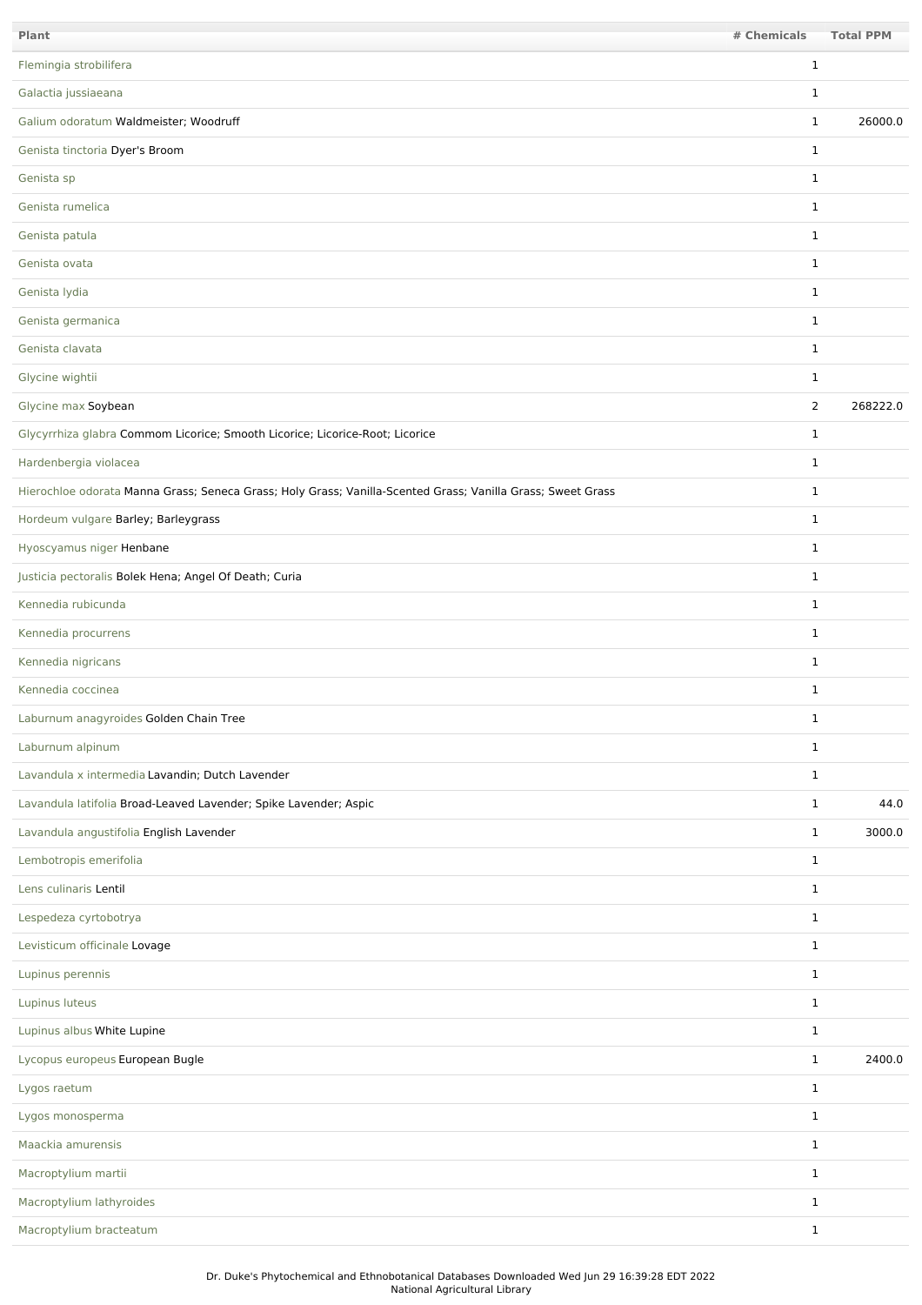| Plant                                                                                                       | # Chemicals    | <b>Total PPM</b> |
|-------------------------------------------------------------------------------------------------------------|----------------|------------------|
| Flemingia strobilifera                                                                                      | 1              |                  |
| Galactia jussiaeana                                                                                         | 1              |                  |
| Galium odoratum Waldmeister; Woodruff                                                                       | 1              | 26000.0          |
| Genista tinctoria Dyer's Broom                                                                              | 1              |                  |
| Genista sp                                                                                                  | $\mathbf{1}$   |                  |
| Genista rumelica                                                                                            | $\mathbf{1}$   |                  |
| Genista patula                                                                                              | $\mathbf 1$    |                  |
| Genista ovata                                                                                               | $\mathbf{1}$   |                  |
| Genista Iydia                                                                                               | $\mathbf{1}$   |                  |
| Genista germanica                                                                                           | $\mathbf{1}$   |                  |
| Genista clavata                                                                                             | $\mathbf{1}$   |                  |
| Glycine wightii                                                                                             | $\mathbf{1}$   |                  |
| Glycine max Soybean                                                                                         | $\overline{2}$ | 268222.0         |
| Glycyrrhiza glabra Commom Licorice; Smooth Licorice; Licorice-Root; Licorice                                | $\mathbf{1}$   |                  |
| Hardenbergia violacea                                                                                       | $\mathbf{1}$   |                  |
| Hierochloe odorata Manna Grass; Seneca Grass; Holy Grass; Vanilla-Scented Grass; Vanilla Grass; Sweet Grass | $\mathbf{1}$   |                  |
| Hordeum vulgare Barley; Barleygrass                                                                         | $\mathbf{1}$   |                  |
| Hyoscyamus niger Henbane                                                                                    | $\mathbf{1}$   |                  |
| Justicia pectoralis Bolek Hena; Angel Of Death; Curia                                                       | $\mathbf{1}$   |                  |
| Kennedia rubicunda                                                                                          | 1              |                  |
| Kennedia procurrens                                                                                         | $\mathbf{1}$   |                  |
| Kennedia nigricans                                                                                          | $\mathbf{1}$   |                  |
| Kennedia coccinea                                                                                           | $\mathbf{1}$   |                  |
| Laburnum anagyroides Golden Chain Tree                                                                      | $\mathbf 1$    |                  |
| Laburnum alpinum                                                                                            | $\mathbf{1}$   |                  |
| Lavandula x intermedia Lavandin; Dutch Lavender                                                             | $\mathbf{1}$   |                  |
| Lavandula latifolia Broad-Leaved Lavender; Spike Lavender; Aspic                                            | $\mathbf{1}$   | 44.0             |
| Lavandula angustifolia English Lavender                                                                     | $\mathbf{1}$   | 3000.0           |
| Lembotropis emerifolia                                                                                      | $\mathbf{1}$   |                  |
| Lens culinaris Lentil                                                                                       | $\mathbf{1}$   |                  |
| Lespedeza cyrtobotrya                                                                                       | $\mathbf{1}$   |                  |
| Levisticum officinale Lovage                                                                                | $\mathbf{1}$   |                  |
| Lupinus perennis                                                                                            | $\mathbf{1}$   |                  |
| Lupinus luteus                                                                                              | $\mathbf{1}$   |                  |
| Lupinus albus White Lupine                                                                                  | $\mathbf{1}$   |                  |
| Lycopus europeus European Bugle                                                                             | $\mathbf{1}$   | 2400.0           |
| Lygos raetum                                                                                                | $\mathbf{1}$   |                  |
| Lygos monosperma                                                                                            | $\mathbf{1}$   |                  |
| Maackia amurensis                                                                                           | $\mathbf{1}$   |                  |
| Macroptylium martii                                                                                         | $\mathbf{1}$   |                  |
| Macroptylium lathyroides                                                                                    | $\mathbf{1}$   |                  |
| Macroptylium bracteatum                                                                                     | $\mathbf{1}$   |                  |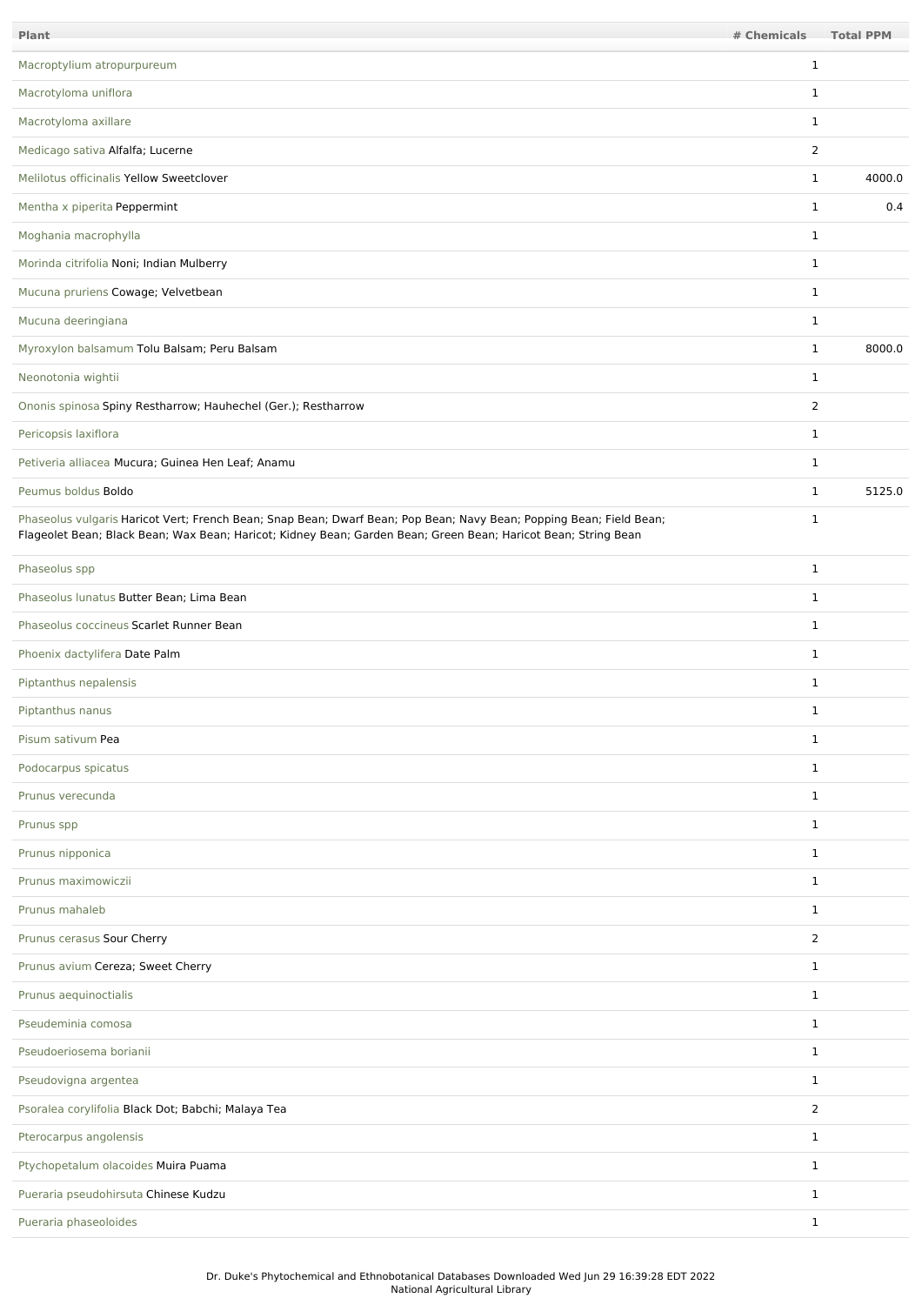| Plant                                                                                                                                                                                                                                 | # Chemicals    | <b>Total PPM</b> |
|---------------------------------------------------------------------------------------------------------------------------------------------------------------------------------------------------------------------------------------|----------------|------------------|
| Macroptylium atropurpureum                                                                                                                                                                                                            | 1              |                  |
| Macrotyloma uniflora                                                                                                                                                                                                                  | $\mathbf{1}$   |                  |
| Macrotyloma axillare                                                                                                                                                                                                                  | $\mathbf{1}$   |                  |
| Medicago sativa Alfalfa; Lucerne                                                                                                                                                                                                      | 2              |                  |
| Melilotus officinalis Yellow Sweetclover                                                                                                                                                                                              | $\mathbf{1}$   | 4000.0           |
| Mentha x piperita Peppermint                                                                                                                                                                                                          | $\mathbf{1}$   | 0.4              |
| Moghania macrophylla                                                                                                                                                                                                                  | $\mathbf{1}$   |                  |
| Morinda citrifolia Noni; Indian Mulberry                                                                                                                                                                                              | $\mathbf{1}$   |                  |
| Mucuna pruriens Cowage; Velvetbean                                                                                                                                                                                                    | $\mathbf{1}$   |                  |
| Mucuna deeringiana                                                                                                                                                                                                                    | $\mathbf{1}$   |                  |
| Myroxylon balsamum Tolu Balsam; Peru Balsam                                                                                                                                                                                           | $\mathbf{1}$   | 8000.0           |
| Neonotonia wightii                                                                                                                                                                                                                    | $\mathbf{1}$   |                  |
| Ononis spinosa Spiny Restharrow; Hauhechel (Ger.); Restharrow                                                                                                                                                                         | $\overline{2}$ |                  |
| Pericopsis laxiflora                                                                                                                                                                                                                  | $\mathbf{1}$   |                  |
| Petiveria alliacea Mucura; Guinea Hen Leaf; Anamu                                                                                                                                                                                     | $\mathbf{1}$   |                  |
| Peumus boldus Boldo                                                                                                                                                                                                                   | $\mathbf{1}$   | 5125.0           |
| Phaseolus vulgaris Haricot Vert; French Bean; Snap Bean; Dwarf Bean; Pop Bean; Navy Bean; Popping Bean; Field Bean;<br>Flageolet Bean; Black Bean; Wax Bean; Haricot; Kidney Bean; Garden Bean; Green Bean; Haricot Bean; String Bean | $\mathbf{1}$   |                  |
| Phaseolus spp                                                                                                                                                                                                                         | $\mathbf{1}$   |                  |
| Phaseolus lunatus Butter Bean; Lima Bean                                                                                                                                                                                              | $\mathbf{1}$   |                  |
| Phaseolus coccineus Scarlet Runner Bean                                                                                                                                                                                               | $\mathbf{1}$   |                  |
| Phoenix dactylifera Date Palm                                                                                                                                                                                                         | $\mathbf{1}$   |                  |
| Piptanthus nepalensis                                                                                                                                                                                                                 | $\mathbf{1}$   |                  |
| Piptanthus nanus                                                                                                                                                                                                                      | $\mathbf{1}$   |                  |
| Pisum sativum Pea                                                                                                                                                                                                                     | $\mathbf{1}$   |                  |
| Podocarpus spicatus                                                                                                                                                                                                                   | $\mathbf{1}$   |                  |
| Prunus verecunda                                                                                                                                                                                                                      | $\mathbf{1}$   |                  |
| Prunus spp                                                                                                                                                                                                                            | $\mathbf{1}$   |                  |
| Prunus nipponica                                                                                                                                                                                                                      | $\mathbf{1}$   |                  |
| Prunus maximowiczii                                                                                                                                                                                                                   | $\mathbf{1}$   |                  |
| Prunus mahaleb                                                                                                                                                                                                                        | $\mathbf{1}$   |                  |
| Prunus cerasus Sour Cherry                                                                                                                                                                                                            | 2              |                  |
| Prunus avium Cereza; Sweet Cherry                                                                                                                                                                                                     | $\mathbf{1}$   |                  |
| Prunus aequinoctialis                                                                                                                                                                                                                 | $\mathbf{1}$   |                  |
| Pseudeminia comosa                                                                                                                                                                                                                    | $\mathbf{1}$   |                  |
| Pseudoeriosema borianii                                                                                                                                                                                                               | $\mathbf{1}$   |                  |
| Pseudovigna argentea                                                                                                                                                                                                                  | $\mathbf{1}$   |                  |
| Psoralea corylifolia Black Dot; Babchi; Malaya Tea                                                                                                                                                                                    | $\overline{2}$ |                  |
| Pterocarpus angolensis                                                                                                                                                                                                                | $\mathbf{1}$   |                  |
| Ptychopetalum olacoides Muira Puama                                                                                                                                                                                                   | $\mathbf{1}$   |                  |
| Pueraria pseudohirsuta Chinese Kudzu                                                                                                                                                                                                  | $\mathbf{1}$   |                  |
| Pueraria phaseoloides                                                                                                                                                                                                                 | $\mathbf{1}$   |                  |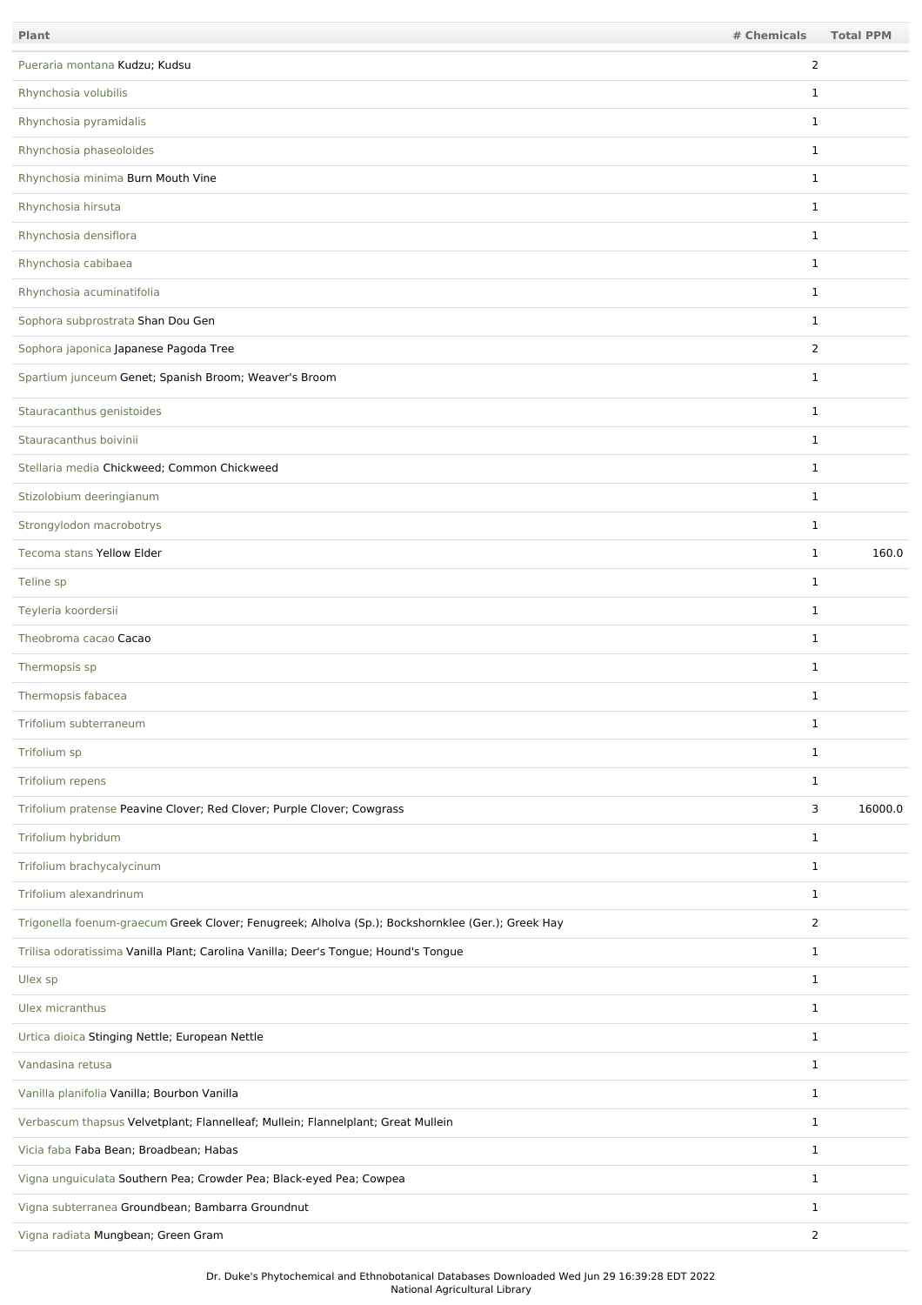| Plant                                                                                             | # Chemicals    | <b>Total PPM</b> |
|---------------------------------------------------------------------------------------------------|----------------|------------------|
| Pueraria montana Kudzu; Kudsu                                                                     | $\overline{2}$ |                  |
| Rhynchosia volubilis                                                                              | 1              |                  |
| Rhynchosia pyramidalis                                                                            | $\mathbf{1}$   |                  |
| Rhynchosia phaseoloides                                                                           | $\mathbf{1}$   |                  |
| Rhynchosia minima Burn Mouth Vine                                                                 | $\mathbf{1}$   |                  |
| Rhynchosia hirsuta                                                                                | $\mathbf{1}$   |                  |
| Rhynchosia densiflora                                                                             | $\mathbf{1}$   |                  |
| Rhynchosia cabibaea                                                                               | $\mathbf{1}$   |                  |
| Rhynchosia acuminatifolia                                                                         | $\mathbf{1}$   |                  |
| Sophora subprostrata Shan Dou Gen                                                                 | $\mathbf{1}$   |                  |
| Sophora japonica Japanese Pagoda Tree                                                             | $\overline{2}$ |                  |
| Spartium junceum Genet; Spanish Broom; Weaver's Broom                                             | $\mathbf{1}$   |                  |
| Stauracanthus genistoides                                                                         | $\mathbf{1}$   |                  |
| Stauracanthus boivinii                                                                            | $\mathbf{1}$   |                  |
| Stellaria media Chickweed; Common Chickweed                                                       | $\mathbf{1}$   |                  |
| Stizolobium deeringianum                                                                          | $\mathbf{1}$   |                  |
| Strongylodon macrobotrys                                                                          | $\mathbf{1}$   |                  |
| Tecoma stans Yellow Elder                                                                         | $\mathbf{1}$   | 160.0            |
| Teline sp                                                                                         | $\mathbf{1}$   |                  |
| Teyleria koordersii                                                                               | $\mathbf{1}$   |                  |
| Theobroma cacao Cacao                                                                             | $\mathbf{1}$   |                  |
| Thermopsis sp                                                                                     | $\mathbf{1}$   |                  |
| Thermopsis fabacea                                                                                | $\mathbf 1$    |                  |
| Trifolium subterraneum                                                                            | 1              |                  |
| Trifolium sp                                                                                      | $\mathbf{1}$   |                  |
| Trifolium repens                                                                                  | $\mathbf{1}$   |                  |
| Trifolium pratense Peavine Clover; Red Clover; Purple Clover; Cowgrass                            | 3              | 16000.0          |
| Trifolium hybridum                                                                                | $\mathbf{1}$   |                  |
| Trifolium brachycalycinum                                                                         | $\mathbf{1}$   |                  |
| Trifolium alexandrinum                                                                            | $\mathbf{1}$   |                  |
| Trigonella foenum-graecum Greek Clover; Fenugreek; Alholva (Sp.); Bockshornklee (Ger.); Greek Hay | $\overline{2}$ |                  |
| Trilisa odoratissima Vanilla Plant; Carolina Vanilla; Deer's Tongue; Hound's Tongue               | $\mathbf{1}$   |                  |
| Ulex sp                                                                                           | $\mathbf{1}$   |                  |
| Ulex micranthus                                                                                   | $\mathbf{1}$   |                  |
| Urtica dioica Stinging Nettle; European Nettle                                                    | $\mathbf{1}$   |                  |
| Vandasina retusa                                                                                  | $\mathbf{1}$   |                  |
| Vanilla planifolia Vanilla; Bourbon Vanilla                                                       | $\mathbf{1}$   |                  |
| Verbascum thapsus Velvetplant; Flannelleaf; Mullein; Flannelplant; Great Mullein                  | $\mathbf{1}$   |                  |
| Vicia faba Faba Bean; Broadbean; Habas                                                            | $\mathbf{1}$   |                  |
| Vigna unguiculata Southern Pea; Crowder Pea; Black-eyed Pea; Cowpea                               | $\mathbf{1}$   |                  |
| Vigna subterranea Groundbean; Bambarra Groundnut                                                  | $\mathbf{1}$   |                  |
| Vigna radiata Mungbean; Green Gram                                                                | $\overline{2}$ |                  |